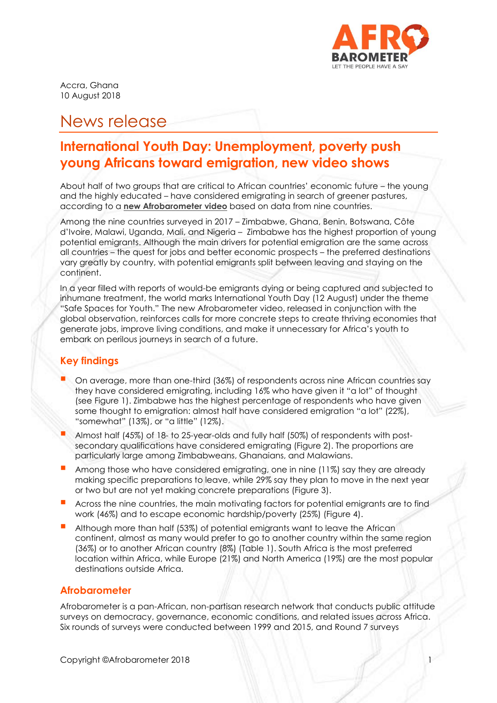

Accra, Ghana 10 August 2018

# News release

## **International Youth Day: Unemployment, poverty push young Africans toward emigration, new video shows**

About half of two groups that are critical to African countries' economic future – the young and the highly educated – have considered emigrating in search of greener pastures, according to a **[new Afrobarometer video](http://afrobarometer.org/videos/international-youth-day-unemployment-poverty-push-young-africans-toward-emigration)** based on data from nine countries.

Among the nine countries surveyed in 2017 – Zimbabwe, Ghana, Benin, Botswana, Côte d'Ivoire, Malawi, Uganda, Mali, and Nigeria – Zimbabwe has the highest proportion of young potential emigrants. Although the main drivers for potential emigration are the same across all countries – the quest for jobs and better economic prospects – the preferred destinations vary greatly by country, with potential emigrants split between leaving and staying on the continent.

In a year filled with reports of would-be emigrants dying or being captured and subjected to inhumane treatment, the world marks International Youth Day (12 August) under the theme "Safe Spaces for Youth." The new Afrobarometer video, released in conjunction with the global observation, reinforces calls for more concrete steps to create thriving economies that generate jobs, improve living conditions, and make it unnecessary for Africa's youth to embark on perilous journeys in search of a future.

## **Key findings**

- On average, more than one-third (36%) of respondents across nine African countries say they have considered emigrating, including 16% who have given it "a lot" of thought (see Figure 1). Zimbabwe has the highest percentage of respondents who have given some thought to emigration: almost half have considered emigration "a lot" (22%), "somewhat" (13%), or "a little" (12%).
- Almost half (45%) of 18- to 25-year-olds and fully half (50%) of respondents with postsecondary qualifications have considered emigrating (Figure 2). The proportions are particularly large among Zimbabweans, Ghanaians, and Malawians.
- Among those who have considered emigrating, one in nine (11%) say they are already making specific preparations to leave, while 29% say they plan to move in the next year or two but are not yet making concrete preparations (Figure 3).
- Across the nine countries, the main motivating factors for potential emigrants are to find work (46%) and to escape economic hardship/poverty (25%) (Figure 4).
- Although more than half (53%) of potential emigrants want to leave the African continent, almost as many would prefer to go to another country within the same region (36%) or to another African country (8%) (Table 1). South Africa is the most preferred location within Africa, while Europe (21%) and North America (19%) are the most popular destinations outside Africa.

## **Afrobarometer**

Afrobarometer is a pan-African, non-partisan research network that conducts public attitude surveys on democracy, governance, economic conditions, and related issues across Africa. Six rounds of surveys were conducted between 1999 and 2015, and Round 7 surveys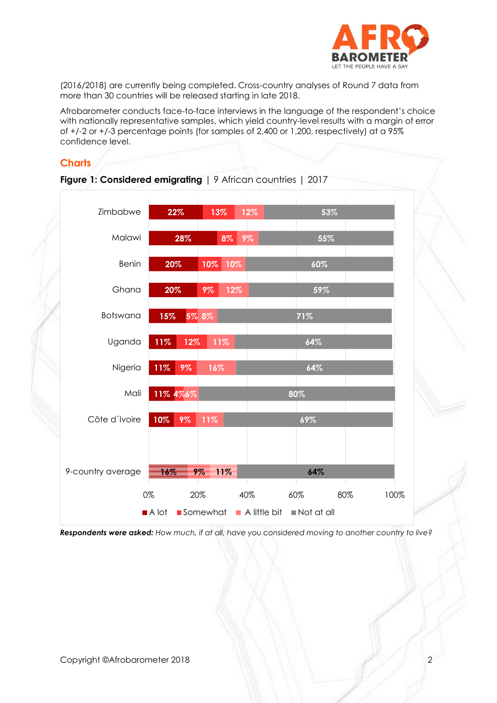

(2016/2018) are currently being completed. Cross-country analyses of Round 7 data from more than 30 countries will be released starting in late 2018.

Afrobarometer conducts face-to-face interviews in the language of the respondent's choice with nationally representative samples, which yield country-level results with a margin of error of +/-2 or +/-3 percentage points (for samples of 2,400 or 1,200, respectively) at a 95% confidence level.

## **Charts**



**Figure 1: Considered emigrating** | 9 African countries | 2017

*Respondents were asked: How much, if at all, have you considered moving to another country to live?*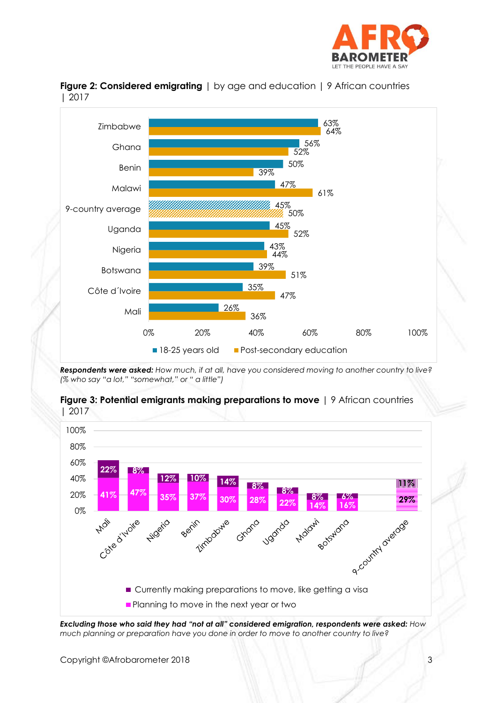



**Figure 2: Considered emigrating** | by age and education | 9 African countries | 2017

*Respondents were asked: How much, if at all, have you considered moving to another country to live? (% who say "a lot," "somewhat," or " a little")*



#### **Figure 3: Potential emigrants making preparations to move** | 9 African countries | 2017

*Excluding those who said they had "not at all" considered emigration, respondents were asked: How much planning or preparation have you done in order to move to another country to live?*